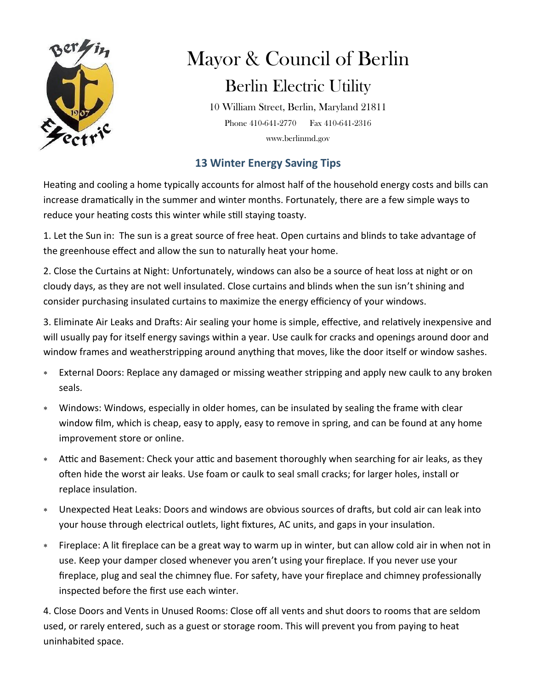

## Mayor & Council of Berlin Berlin Electric Utility

10 William Street, Berlin, Maryland 21811 Phone 410-641-2770 Fax 410-641-2316 www.berlinmd.gov

## **13 Winter Energy Saving Tips**

Heating and cooling a home typically accounts for almost half of the household energy costs and bills can increase dramatically in the summer and winter months. Fortunately, there are a few simple ways to reduce your heating costs this winter while still staying toasty.

1. Let the Sun in: The sun is a great source of free heat. Open curtains and blinds to take advantage of the greenhouse effect and allow the sun to naturally heat your home.

2. Close the Curtains at Night: Unfortunately, windows can also be a source of heat loss at night or on cloudy days, as they are not well insulated. Close curtains and blinds when the sun isn't shining and consider purchasing insulated curtains to maximize the energy efficiency of your windows.

3. Eliminate Air Leaks and Drafts: Air sealing your home is simple, effective, and relatively inexpensive and will usually pay for itself energy savings within a year. Use caulk for cracks and openings around door and window frames and weatherstripping around anything that moves, like the door itself or window sashes.

- External Doors: Replace any damaged or missing weather stripping and apply new caulk to any broken seals.
- Windows: Windows, especially in older homes, can be insulated by sealing the frame with clear window film, which is cheap, easy to apply, easy to remove in spring, and can be found at any home improvement store or online.
- Attic and Basement: Check your attic and basement thoroughly when searching for air leaks, as they often hide the worst air leaks. Use foam or caulk to seal small cracks; for larger holes, install or replace insulation.
- Unexpected Heat Leaks: Doors and windows are obvious sources of drafts, but cold air can leak into your house through electrical outlets, light fixtures, AC units, and gaps in your insulation.
- Fireplace: A lit fireplace can be a great way to warm up in winter, but can allow cold air in when not in use. Keep your damper closed whenever you aren't using your fireplace. If you never use your fireplace, plug and seal the chimney flue. For safety, have your fireplace and chimney professionally inspected before the first use each winter.

4. Close Doors and Vents in Unused Rooms: Close off all vents and shut doors to rooms that are seldom used, or rarely entered, such as a guest or storage room. This will prevent you from paying to heat uninhabited space.